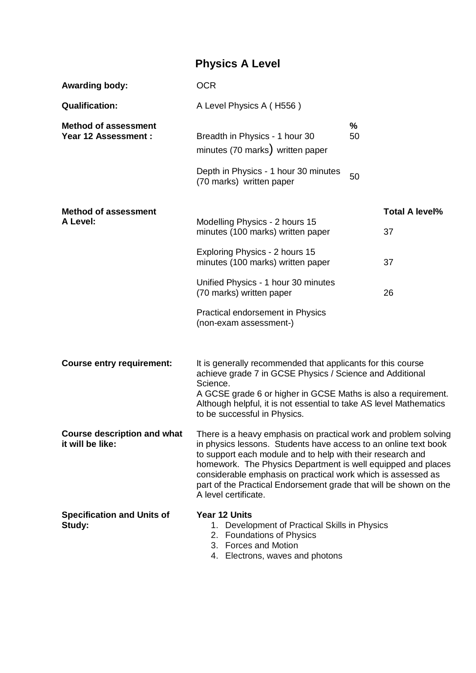## **Physics A Level**

| <b>Awarding body:</b>                                     | <b>OCR</b>                                                                                                                                                                                                                                                                                                                                                                                                                    |            |                       |
|-----------------------------------------------------------|-------------------------------------------------------------------------------------------------------------------------------------------------------------------------------------------------------------------------------------------------------------------------------------------------------------------------------------------------------------------------------------------------------------------------------|------------|-----------------------|
| <b>Qualification:</b>                                     | A Level Physics A (H556)                                                                                                                                                                                                                                                                                                                                                                                                      |            |                       |
| <b>Method of assessment</b><br><b>Year 12 Assessment:</b> | Breadth in Physics - 1 hour 30<br>minutes (70 marks) written paper                                                                                                                                                                                                                                                                                                                                                            | $\%$<br>50 |                       |
|                                                           | Depth in Physics - 1 hour 30 minutes<br>(70 marks) written paper                                                                                                                                                                                                                                                                                                                                                              | 50         |                       |
| <b>Method of assessment</b><br>A Level:                   |                                                                                                                                                                                                                                                                                                                                                                                                                               |            | <b>Total A level%</b> |
|                                                           | Modelling Physics - 2 hours 15<br>minutes (100 marks) written paper                                                                                                                                                                                                                                                                                                                                                           |            | 37                    |
|                                                           | Exploring Physics - 2 hours 15<br>minutes (100 marks) written paper                                                                                                                                                                                                                                                                                                                                                           |            | 37                    |
|                                                           | Unified Physics - 1 hour 30 minutes<br>(70 marks) written paper                                                                                                                                                                                                                                                                                                                                                               |            | 26                    |
|                                                           | Practical endorsement in Physics<br>(non-exam assessment-)                                                                                                                                                                                                                                                                                                                                                                    |            |                       |
| <b>Course entry requirement:</b>                          | It is generally recommended that applicants for this course<br>achieve grade 7 in GCSE Physics / Science and Additional<br>Science.<br>A GCSE grade 6 or higher in GCSE Maths is also a requirement.<br>Although helpful, it is not essential to take AS level Mathematics<br>to be successful in Physics.                                                                                                                    |            |                       |
| <b>Course description and what</b><br>it will be like:    | There is a heavy emphasis on practical work and problem solving<br>in physics lessons. Students have access to an online text book<br>to support each module and to help with their research and<br>homework. The Physics Department is well equipped and places<br>considerable emphasis on practical work which is assessed as<br>part of the Practical Endorsement grade that will be shown on the<br>A level certificate. |            |                       |
| <b>Specification and Units of</b><br>Study:               | Year 12 Units<br>1. Development of Practical Skills in Physics<br>2. Foundations of Physics<br>3. Forces and Motion                                                                                                                                                                                                                                                                                                           |            |                       |

4. Electrons, waves and photons